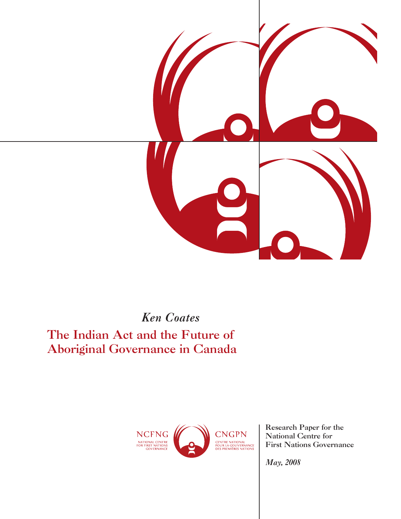

*Ken Coates*

The Indian Act and the Future of Aboriginal Governance in Canada



Research Paper for the National Centre for First Nations Governance

*May, 2008*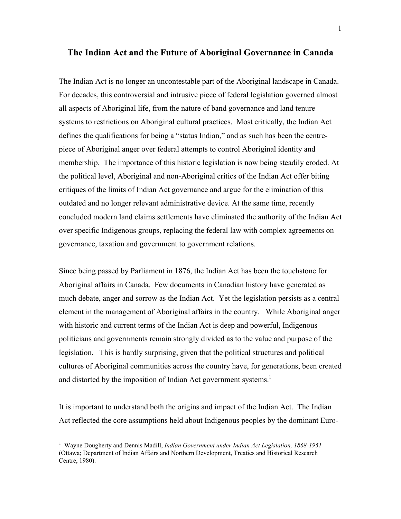## **The Indian Act and the Future of Aboriginal Governance in Canada**

The Indian Act is no longer an uncontestable part of the Aboriginal landscape in Canada. For decades, this controversial and intrusive piece of federal legislation governed almost all aspects of Aboriginal life, from the nature of band governance and land tenure systems to restrictions on Aboriginal cultural practices. Most critically, the Indian Act defines the qualifications for being a "status Indian," and as such has been the centrepiece of Aboriginal anger over federal attempts to control Aboriginal identity and membership. The importance of this historic legislation is now being steadily eroded. At the political level, Aboriginal and non-Aboriginal critics of the Indian Act offer biting critiques of the limits of Indian Act governance and argue for the elimination of this outdated and no longer relevant administrative device. At the same time, recently concluded modern land claims settlements have eliminated the authority of the Indian Act over specific Indigenous groups, replacing the federal law with complex agreements on governance, taxation and government to government relations.

Since being passed by Parliament in 1876, the Indian Act has been the touchstone for Aboriginal affairs in Canada. Few documents in Canadian history have generated as much debate, anger and sorrow as the Indian Act. Yet the legislation persists as a central element in the management of Aboriginal affairs in the country. While Aboriginal anger with historic and current terms of the Indian Act is deep and powerful, Indigenous politicians and governments remain strongly divided as to the value and purpose of the legislation. This is hardly surprising, given that the political structures and political cultures of Aboriginal communities across the country have, for generations, been created and distorted by the imposition of Indian Act government systems.<sup>1</sup>

It is important to understand both the origins and impact of the Indian Act. The Indian Act reflected the core assumptions held about Indigenous peoples by the dominant Euro-

<sup>1</sup> Wayne Dougherty and Dennis Madill, *Indian Government under Indian Act Legislation, 1868-1951* (Ottawa; Department of Indian Affairs and Northern Development, Treaties and Historical Research Centre, 1980).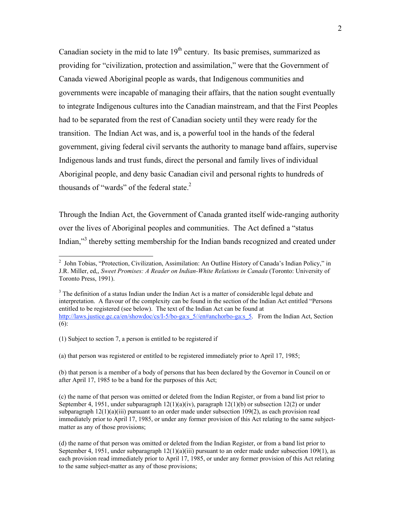Canadian society in the mid to late  $19<sup>th</sup>$  century. Its basic premises, summarized as providing for "civilization, protection and assimilation," were that the Government of Canada viewed Aboriginal people as wards, that Indigenous communities and governments were incapable of managing their affairs, that the nation sought eventually to integrate Indigenous cultures into the Canadian mainstream, and that the First Peoples had to be separated from the rest of Canadian society until they were ready for the transition. The Indian Act was, and is, a powerful tool in the hands of the federal government, giving federal civil servants the authority to manage band affairs, supervise Indigenous lands and trust funds, direct the personal and family lives of individual Aboriginal people, and deny basic Canadian civil and personal rights to hundreds of thousands of "wards" of the federal state. $<sup>2</sup>$ </sup>

Through the Indian Act, the Government of Canada granted itself wide-ranging authority over the lives of Aboriginal peoples and communities. The Act defined a "status Indian,"<sup>3</sup> thereby setting membership for the Indian bands recognized and created under

(1) Subject to section 7, a person is entitled to be registered if

(a) that person was registered or entitled to be registered immediately prior to April 17, 1985;

(b) that person is a member of a body of persons that has been declared by the Governor in Council on or after April 17, 1985 to be a band for the purposes of this Act;

 2 John Tobias, "Protection, Civilization, Assimilation: An Outline History of Canada's Indian Policy," in J.R. Miller, ed,, *Sweet Promises: A Reader on Indian-White Relations in Canada* (Toronto: University of Toronto Press, 1991).

 $3$  The definition of a status Indian under the Indian Act is a matter of considerable legal debate and interpretation. A flavour of the complexity can be found in the section of the Indian Act entitled "Persons entitled to be registered (see below). The text of the Indian Act can be found at http://laws.justice.gc.ca/en/showdoc/cs/I-5/bo-ga:s\_5//en#anchorbo-ga:s\_5. From the Indian Act, Section (6):

<sup>(</sup>c) the name of that person was omitted or deleted from the Indian Register, or from a band list prior to September 4, 1951, under subparagraph  $12(1)(a)(iv)$ , paragraph  $12(1)(b)$  or subsection 12(2) or under subparagraph  $12(1)(a)(iii)$  pursuant to an order made under subsection  $109(2)$ , as each provision read immediately prior to April 17, 1985, or under any former provision of this Act relating to the same subjectmatter as any of those provisions;

<sup>(</sup>d) the name of that person was omitted or deleted from the Indian Register, or from a band list prior to September 4, 1951, under subparagraph  $12(1)(a)(iii)$  pursuant to an order made under subsection 109(1), as each provision read immediately prior to April 17, 1985, or under any former provision of this Act relating to the same subject-matter as any of those provisions;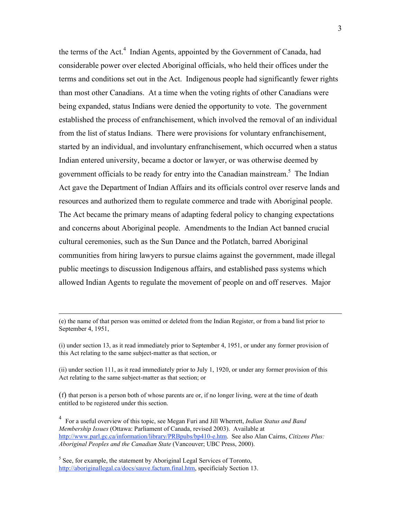the terms of the Act.<sup>4</sup> Indian Agents, appointed by the Government of Canada, had considerable power over elected Aboriginal officials, who held their offices under the terms and conditions set out in the Act. Indigenous people had significantly fewer rights than most other Canadians. At a time when the voting rights of other Canadians were being expanded, status Indians were denied the opportunity to vote. The government established the process of enfranchisement, which involved the removal of an individual from the list of status Indians. There were provisions for voluntary enfranchisement, started by an individual, and involuntary enfranchisement, which occurred when a status Indian entered university, became a doctor or lawyer, or was otherwise deemed by government officials to be ready for entry into the Canadian mainstream.<sup>5</sup> The Indian Act gave the Department of Indian Affairs and its officials control over reserve lands and resources and authorized them to regulate commerce and trade with Aboriginal people. The Act became the primary means of adapting federal policy to changing expectations and concerns about Aboriginal people. Amendments to the Indian Act banned crucial cultural ceremonies, such as the Sun Dance and the Potlatch, barred Aboriginal communities from hiring lawyers to pursue claims against the government, made illegal public meetings to discussion Indigenous affairs, and established pass systems which allowed Indian Agents to regulate the movement of people on and off reserves. Major

<sup>(</sup>e) the name of that person was omitted or deleted from the Indian Register, or from a band list prior to September 4, 1951,

<sup>(</sup>i) under section 13, as it read immediately prior to September 4, 1951, or under any former provision of this Act relating to the same subject-matter as that section, or

<sup>(</sup>ii) under section 111, as it read immediately prior to July 1, 1920, or under any former provision of this Act relating to the same subject-matter as that section; or

<sup>(</sup>f) that person is a person both of whose parents are or, if no longer living, were at the time of death entitled to be registered under this section.

<sup>4</sup> For a useful overview of this topic, see Megan Furi and Jill Wherrett, *Indian Status and Band Membership Issues* (Ottawa: Parliament of Canada, revised 2003). Available at http://www.parl.gc.ca/information/library/PRBpubs/bp410-e.htm. See also Alan Cairns, *Citizens Plus: Aboriginal Peoples and the Canadian State* (Vancouver; UBC Press, 2000).

<sup>&</sup>lt;sup>5</sup> See, for example, the statement by Aboriginal Legal Services of Toronto, http://aboriginallegal.ca/docs/sauve.factum.final.htm, specificialy Section 13.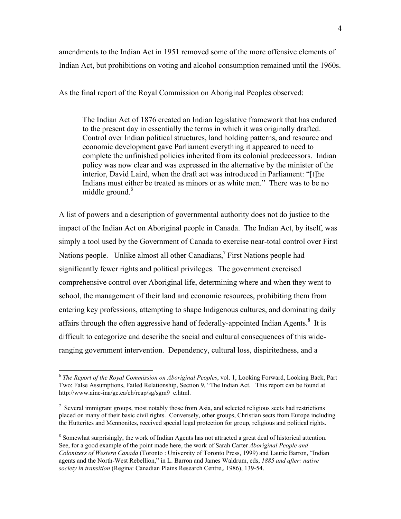amendments to the Indian Act in 1951 removed some of the more offensive elements of Indian Act, but prohibitions on voting and alcohol consumption remained until the 1960s.

As the final report of the Royal Commission on Aboriginal Peoples observed:

The Indian Act of 1876 created an Indian legislative framework that has endured to the present day in essentially the terms in which it was originally drafted. Control over Indian political structures, land holding patterns, and resource and economic development gave Parliament everything it appeared to need to complete the unfinished policies inherited from its colonial predecessors. Indian policy was now clear and was expressed in the alternative by the minister of the interior, David Laird, when the draft act was introduced in Parliament: "[t]he Indians must either be treated as minors or as white men." There was to be no middle ground.<sup>6</sup>

A list of powers and a description of governmental authority does not do justice to the impact of the Indian Act on Aboriginal people in Canada. The Indian Act, by itself, was simply a tool used by the Government of Canada to exercise near-total control over First Nations people. Unlike almost all other Canadians,<sup>7</sup> First Nations people had significantly fewer rights and political privileges. The government exercised comprehensive control over Aboriginal life, determining where and when they went to school, the management of their land and economic resources, prohibiting them from entering key professions, attempting to shape Indigenous cultures, and dominating daily affairs through the often aggressive hand of federally-appointed Indian Agents. $8$  It is difficult to categorize and describe the social and cultural consequences of this wideranging government intervention. Dependency, cultural loss, dispiritedness, and a

<sup>6</sup> *The Report of the Royal Commission on Aboriginal Peoples*, vol. 1, Looking Forward, Looking Back, Part Two: False Assumptions, Failed Relationship, Section 9, "The Indian Act. This report can be found at http://www.ainc-ina/gc.ca/ch/rcap/sg/sgm9\_e.html.

 $<sup>7</sup>$  Several immigrant groups, most notably those from Asia, and selected religious sects had restrictions</sup> placed on many of their basic civil rights. Conversely, other groups, Christian sects from Europe including the Hutterites and Mennonites, received special legal protection for group, religious and political rights.

<sup>&</sup>lt;sup>8</sup> Somewhat surprisingly, the work of Indian Agents has not attracted a great deal of historical attention. See, for a good example of the point made here, the work of Sarah Carter *Aboriginal People and Colonizers of Western Canada* (Toronto : University of Toronto Press, 1999) and Laurie Barron, "Indian agents and the North-West Rebellion," in L. Barron and James Waldrum, eds, *1885 and after: native society in transition* (Regina: Canadian Plains Research Centre,. 1986), 139-54.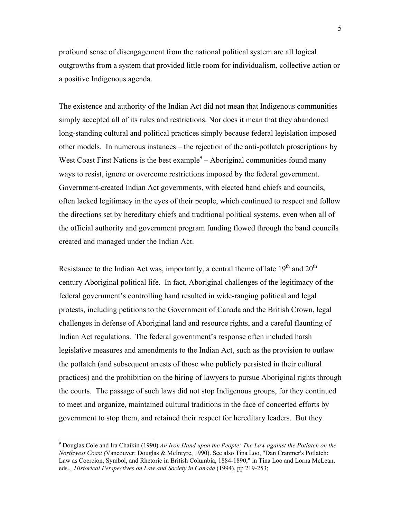profound sense of disengagement from the national political system are all logical outgrowths from a system that provided little room for individualism, collective action or a positive Indigenous agenda.

The existence and authority of the Indian Act did not mean that Indigenous communities simply accepted all of its rules and restrictions. Nor does it mean that they abandoned long-standing cultural and political practices simply because federal legislation imposed other models. In numerous instances – the rejection of the anti-potlatch proscriptions by West Coast First Nations is the best example $9 -$ Aboriginal communities found many ways to resist, ignore or overcome restrictions imposed by the federal government. Government-created Indian Act governments, with elected band chiefs and councils, often lacked legitimacy in the eyes of their people, which continued to respect and follow the directions set by hereditary chiefs and traditional political systems, even when all of the official authority and government program funding flowed through the band councils created and managed under the Indian Act.

Resistance to the Indian Act was, importantly, a central theme of late  $19<sup>th</sup>$  and  $20<sup>th</sup>$ century Aboriginal political life. In fact, Aboriginal challenges of the legitimacy of the federal government's controlling hand resulted in wide-ranging political and legal protests, including petitions to the Government of Canada and the British Crown, legal challenges in defense of Aboriginal land and resource rights, and a careful flaunting of Indian Act regulations. The federal government's response often included harsh legislative measures and amendments to the Indian Act, such as the provision to outlaw the potlatch (and subsequent arrests of those who publicly persisted in their cultural practices) and the prohibition on the hiring of lawyers to pursue Aboriginal rights through the courts. The passage of such laws did not stop Indigenous groups, for they continued to meet and organize, maintained cultural traditions in the face of concerted efforts by government to stop them, and retained their respect for hereditary leaders. But they

<sup>9</sup> Douglas Cole and Ira Chaikin (1990) *An Iron Hand upon the People: The Law against the Potlatch on the Northwest Coast (*Vancouver: Douglas & McIntyre, 1990). See also Tina Loo, "Dan Cranmer's Potlatch: Law as Coercion, Symbol, and Rhetoric in British Columbia, 1884-1890," in Tina Loo and Lorna McLean, eds., *Historical Perspectives on Law and Society in Canada* (1994), pp 219-253;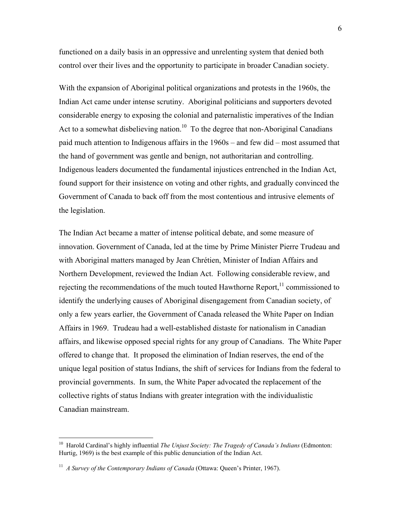functioned on a daily basis in an oppressive and unrelenting system that denied both control over their lives and the opportunity to participate in broader Canadian society.

With the expansion of Aboriginal political organizations and protests in the 1960s, the Indian Act came under intense scrutiny. Aboriginal politicians and supporters devoted considerable energy to exposing the colonial and paternalistic imperatives of the Indian Act to a somewhat disbelieving nation.<sup>10</sup> To the degree that non-Aboriginal Canadians paid much attention to Indigenous affairs in the 1960s – and few did – most assumed that the hand of government was gentle and benign, not authoritarian and controlling. Indigenous leaders documented the fundamental injustices entrenched in the Indian Act, found support for their insistence on voting and other rights, and gradually convinced the Government of Canada to back off from the most contentious and intrusive elements of the legislation.

The Indian Act became a matter of intense political debate, and some measure of innovation. Government of Canada, led at the time by Prime Minister Pierre Trudeau and with Aboriginal matters managed by Jean Chrétien, Minister of Indian Affairs and Northern Development, reviewed the Indian Act. Following considerable review, and rejecting the recommendations of the much touted Hawthorne Report,<sup>11</sup> commissioned to identify the underlying causes of Aboriginal disengagement from Canadian society, of only a few years earlier, the Government of Canada released the White Paper on Indian Affairs in 1969. Trudeau had a well-established distaste for nationalism in Canadian affairs, and likewise opposed special rights for any group of Canadians. The White Paper offered to change that. It proposed the elimination of Indian reserves, the end of the unique legal position of status Indians, the shift of services for Indians from the federal to provincial governments. In sum, the White Paper advocated the replacement of the collective rights of status Indians with greater integration with the individualistic Canadian mainstream.

<sup>10</sup> Harold Cardinal's highly influential *The Unjust Society: The Tragedy of Canada's Indians* (Edmonton: Hurtig, 1969) is the best example of this public denunciation of the Indian Act.

<sup>&</sup>lt;sup>11</sup> *A Survey of the Contemporary Indians of Canada* (Ottawa: Queen's Printer, 1967).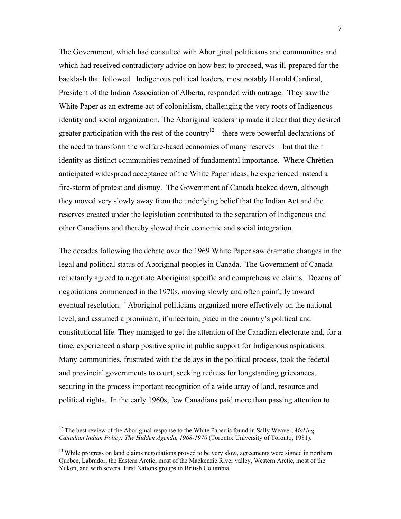The Government, which had consulted with Aboriginal politicians and communities and which had received contradictory advice on how best to proceed, was ill-prepared for the backlash that followed. Indigenous political leaders, most notably Harold Cardinal, President of the Indian Association of Alberta, responded with outrage. They saw the White Paper as an extreme act of colonialism, challenging the very roots of Indigenous identity and social organization. The Aboriginal leadership made it clear that they desired greater participation with the rest of the country<sup>12</sup> – there were powerful declarations of the need to transform the welfare-based economies of many reserves – but that their identity as distinct communities remained of fundamental importance. Where Chrétien anticipated widespread acceptance of the White Paper ideas, he experienced instead a fire-storm of protest and dismay. The Government of Canada backed down, although they moved very slowly away from the underlying belief that the Indian Act and the reserves created under the legislation contributed to the separation of Indigenous and other Canadians and thereby slowed their economic and social integration.

The decades following the debate over the 1969 White Paper saw dramatic changes in the legal and political status of Aboriginal peoples in Canada. The Government of Canada reluctantly agreed to negotiate Aboriginal specific and comprehensive claims. Dozens of negotiations commenced in the 1970s, moving slowly and often painfully toward eventual resolution.<sup>13</sup> Aboriginal politicians organized more effectively on the national level, and assumed a prominent, if uncertain, place in the country's political and constitutional life. They managed to get the attention of the Canadian electorate and, for a time, experienced a sharp positive spike in public support for Indigenous aspirations. Many communities, frustrated with the delays in the political process, took the federal and provincial governments to court, seeking redress for longstanding grievances, securing in the process important recognition of a wide array of land, resource and political rights. In the early 1960s, few Canadians paid more than passing attention to

1

<sup>&</sup>lt;sup>12</sup> The best review of the Aboriginal response to the White Paper is found in Sally Weaver, *Making Canadian Indian Policy: The Hidden Agenda, 1968-1970* (Toronto: University of Toronto, 1981).

<sup>&</sup>lt;sup>13</sup> While progress on land claims negotiations proved to be very slow, agreements were signed in northern Quebec, Labrador, the Eastern Arctic, most of the Mackenzie River valley, Western Arctic, most of the Yukon, and with several First Nations groups in British Columbia.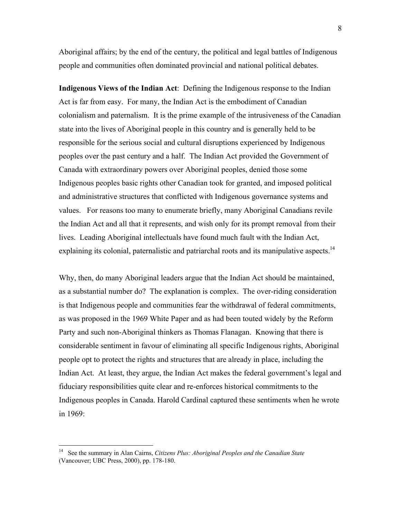Aboriginal affairs; by the end of the century, the political and legal battles of Indigenous people and communities often dominated provincial and national political debates.

**Indigenous Views of the Indian Act**: Defining the Indigenous response to the Indian Act is far from easy. For many, the Indian Act is the embodiment of Canadian colonialism and paternalism. It is the prime example of the intrusiveness of the Canadian state into the lives of Aboriginal people in this country and is generally held to be responsible for the serious social and cultural disruptions experienced by Indigenous peoples over the past century and a half. The Indian Act provided the Government of Canada with extraordinary powers over Aboriginal peoples, denied those some Indigenous peoples basic rights other Canadian took for granted, and imposed political and administrative structures that conflicted with Indigenous governance systems and values. For reasons too many to enumerate briefly, many Aboriginal Canadians revile the Indian Act and all that it represents, and wish only for its prompt removal from their lives. Leading Aboriginal intellectuals have found much fault with the Indian Act, explaining its colonial, paternalistic and patriarchal roots and its manipulative aspects.<sup>14</sup>

Why, then, do many Aboriginal leaders argue that the Indian Act should be maintained, as a substantial number do? The explanation is complex. The over-riding consideration is that Indigenous people and communities fear the withdrawal of federal commitments, as was proposed in the 1969 White Paper and as had been touted widely by the Reform Party and such non-Aboriginal thinkers as Thomas Flanagan. Knowing that there is considerable sentiment in favour of eliminating all specific Indigenous rights, Aboriginal people opt to protect the rights and structures that are already in place, including the Indian Act. At least, they argue, the Indian Act makes the federal government's legal and fiduciary responsibilities quite clear and re-enforces historical commitments to the Indigenous peoples in Canada. Harold Cardinal captured these sentiments when he wrote in 1969:

<sup>14</sup> See the summary in Alan Cairns, *Citizens Plus: Aboriginal Peoples and the Canadian State* (Vancouver; UBC Press, 2000), pp. 178-180.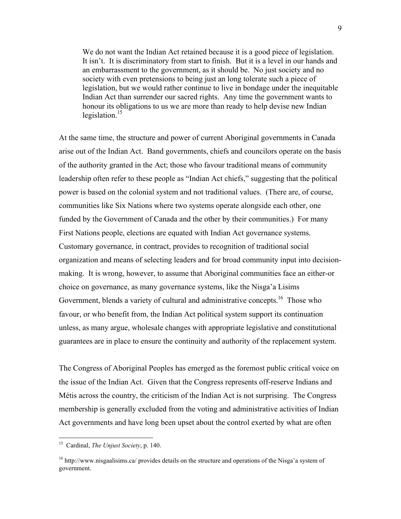We do not want the Indian Act retained because it is a good piece of legislation. It isn't. It is discriminatory from start to finish. But it is a level in our hands and an embarrassment to the government, as it should be. No just society and no society with even pretensions to being just an long tolerate such a piece of legislation, but we would rather continue to live in bondage under the inequitable Indian Act than surrender our sacred rights. Any time the government wants to honour its obligations to us we are more than ready to help devise new Indian legislation. $15$ 

At the same time, the structure and power of current Aboriginal governments in Canada arise out of the Indian Act. Band governments, chiefs and councilors operate on the basis of the authority granted in the Act; those who favour traditional means of community leadership often refer to these people as "Indian Act chiefs," suggesting that the political power is based on the colonial system and not traditional values. (There are, of course, communities like Six Nations where two systems operate alongside each other, one funded by the Government of Canada and the other by their communities.) For many First Nations people, elections are equated with Indian Act governance systems. Customary governance, in contract, provides to recognition of traditional social organization and means of selecting leaders and for broad community input into decisionmaking. It is wrong, however, to assume that Aboriginal communities face an either-or choice on governance, as many governance systems, like the Nisga'a Lisims Government, blends a variety of cultural and administrative concepts.<sup>16</sup> Those who favour, or who benefit from, the Indian Act political system support its continuation unless, as many argue, wholesale changes with appropriate legislative and constitutional guarantees are in place to ensure the continuity and authority of the replacement system.

The Congress of Aboriginal Peoples has emerged as the foremost public critical voice on the issue of the Indian Act. Given that the Congress represents off-reserve Indians and Métis across the country, the criticism of the Indian Act is not surprising. The Congress membership is generally excluded from the voting and administrative activities of Indian Act governments and have long been upset about the control exerted by what are often

<sup>15</sup> Cardinal, *The Unjust Society*, p. 140.

<sup>16</sup> http://www.nisgaalisims.ca/ provides details on the structure and operations of the Nisga'a system of government.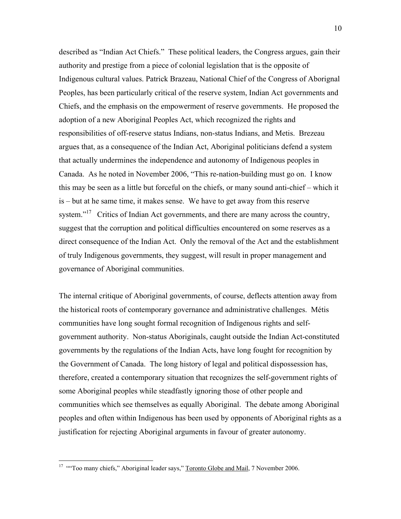described as "Indian Act Chiefs." These political leaders, the Congress argues, gain their authority and prestige from a piece of colonial legislation that is the opposite of Indigenous cultural values. Patrick Brazeau, National Chief of the Congress of Aborignal Peoples, has been particularly critical of the reserve system, Indian Act governments and Chiefs, and the emphasis on the empowerment of reserve governments. He proposed the adoption of a new Aboriginal Peoples Act, which recognized the rights and responsibilities of off-reserve status Indians, non-status Indians, and Metis. Brezeau argues that, as a consequence of the Indian Act, Aboriginal politicians defend a system that actually undermines the independence and autonomy of Indigenous peoples in Canada. As he noted in November 2006, "This re-nation-building must go on. I know this may be seen as a little but forceful on the chiefs, or many sound anti-chief – which it is – but at he same time, it makes sense. We have to get away from this reserve system."<sup>17</sup> Critics of Indian Act governments, and there are many across the country, suggest that the corruption and political difficulties encountered on some reserves as a direct consequence of the Indian Act. Only the removal of the Act and the establishment of truly Indigenous governments, they suggest, will result in proper management and governance of Aboriginal communities.

The internal critique of Aboriginal governments, of course, deflects attention away from the historical roots of contemporary governance and administrative challenges. Métis communities have long sought formal recognition of Indigenous rights and selfgovernment authority. Non-status Aboriginals, caught outside the Indian Act-constituted governments by the regulations of the Indian Acts, have long fought for recognition by the Government of Canada. The long history of legal and political dispossession has, therefore, created a contemporary situation that recognizes the self-government rights of some Aboriginal peoples while steadfastly ignoring those of other people and communities which see themselves as equally Aboriginal. The debate among Aboriginal peoples and often within Indigenous has been used by opponents of Aboriginal rights as a justification for rejecting Aboriginal arguments in favour of greater autonomy.

1

<sup>&</sup>lt;sup>17</sup> "Too many chiefs," Aboriginal leader says," Toronto Globe and Mail, 7 November 2006.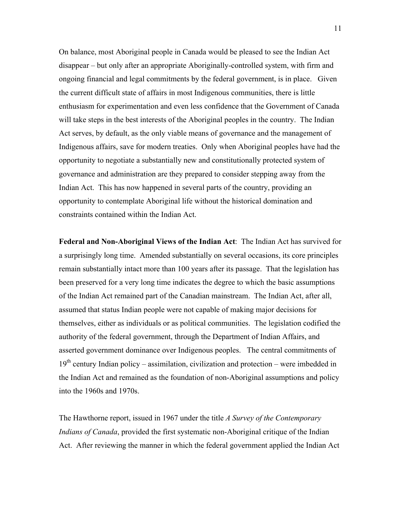On balance, most Aboriginal people in Canada would be pleased to see the Indian Act disappear – but only after an appropriate Aboriginally-controlled system, with firm and ongoing financial and legal commitments by the federal government, is in place. Given the current difficult state of affairs in most Indigenous communities, there is little enthusiasm for experimentation and even less confidence that the Government of Canada will take steps in the best interests of the Aboriginal peoples in the country. The Indian Act serves, by default, as the only viable means of governance and the management of Indigenous affairs, save for modern treaties. Only when Aboriginal peoples have had the opportunity to negotiate a substantially new and constitutionally protected system of governance and administration are they prepared to consider stepping away from the Indian Act. This has now happened in several parts of the country, providing an opportunity to contemplate Aboriginal life without the historical domination and constraints contained within the Indian Act.

**Federal and Non-Aboriginal Views of the Indian Act**: The Indian Act has survived for a surprisingly long time. Amended substantially on several occasions, its core principles remain substantially intact more than 100 years after its passage. That the legislation has been preserved for a very long time indicates the degree to which the basic assumptions of the Indian Act remained part of the Canadian mainstream. The Indian Act, after all, assumed that status Indian people were not capable of making major decisions for themselves, either as individuals or as political communities. The legislation codified the authority of the federal government, through the Department of Indian Affairs, and asserted government dominance over Indigenous peoples. The central commitments of  $19<sup>th</sup>$  century Indian policy – assimilation, civilization and protection – were imbedded in the Indian Act and remained as the foundation of non-Aboriginal assumptions and policy into the 1960s and 1970s.

The Hawthorne report, issued in 1967 under the title *A Survey of the Contemporary Indians of Canada*, provided the first systematic non-Aboriginal critique of the Indian Act. After reviewing the manner in which the federal government applied the Indian Act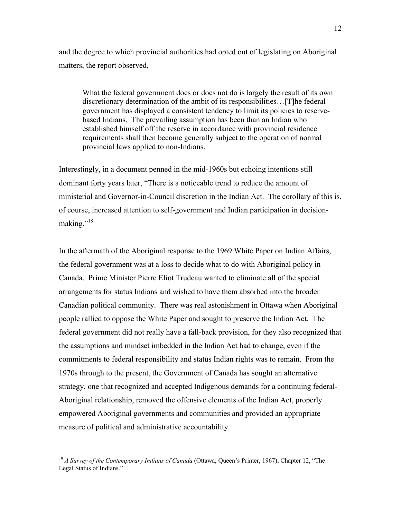and the degree to which provincial authorities had opted out of legislating on Aboriginal matters, the report observed,

What the federal government does or does not do is largely the result of its own discretionary determination of the ambit of its responsibilities…[T]he federal government has displayed a consistent tendency to limit its policies to reservebased Indians. The prevailing assumption has been than an Indian who established himself off the reserve in accordance with provincial residence requirements shall then become generally subject to the operation of normal provincial laws applied to non-Indians.

Interestingly, in a document penned in the mid-1960s but echoing intentions still dominant forty years later, "There is a noticeable trend to reduce the amount of ministerial and Governor-in-Council discretion in the Indian Act. The corollary of this is, of course, increased attention to self-government and Indian participation in decisionmaking."<sup>18</sup>

In the aftermath of the Aboriginal response to the 1969 White Paper on Indian Affairs, the federal government was at a loss to decide what to do with Aboriginal policy in Canada. Prime Minister Pierre Eliot Trudeau wanted to eliminate all of the special arrangements for status Indians and wished to have them absorbed into the broader Canadian political community. There was real astonishment in Ottawa when Aboriginal people rallied to oppose the White Paper and sought to preserve the Indian Act. The federal government did not really have a fall-back provision, for they also recognized that the assumptions and mindset imbedded in the Indian Act had to change, even if the commitments to federal responsibility and status Indian rights was to remain. From the 1970s through to the present, the Government of Canada has sought an alternative strategy, one that recognized and accepted Indigenous demands for a continuing federal-Aboriginal relationship, removed the offensive elements of the Indian Act, properly empowered Aboriginal governments and communities and provided an appropriate measure of political and administrative accountability.

<sup>18</sup> *A Survey of the Contemporary Indians of Canada* (Ottawa; Queen's Printer, 1967), Chapter 12, "The Legal Status of Indians."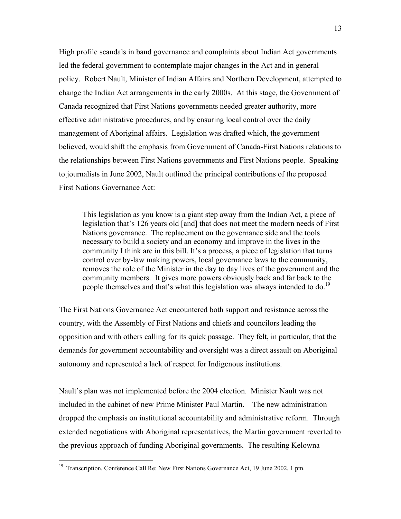High profile scandals in band governance and complaints about Indian Act governments led the federal government to contemplate major changes in the Act and in general policy. Robert Nault, Minister of Indian Affairs and Northern Development, attempted to change the Indian Act arrangements in the early 2000s. At this stage, the Government of Canada recognized that First Nations governments needed greater authority, more effective administrative procedures, and by ensuring local control over the daily management of Aboriginal affairs. Legislation was drafted which, the government believed, would shift the emphasis from Government of Canada-First Nations relations to the relationships between First Nations governments and First Nations people. Speaking to journalists in June 2002, Nault outlined the principal contributions of the proposed First Nations Governance Act:

This legislation as you know is a giant step away from the Indian Act, a piece of legislation that's 126 years old [and] that does not meet the modern needs of First Nations governance. The replacement on the governance side and the tools necessary to build a society and an economy and improve in the lives in the community I think are in this bill. It's a process, a piece of legislation that turns control over by-law making powers, local governance laws to the community, removes the role of the Minister in the day to day lives of the government and the community members. It gives more powers obviously back and far back to the people themselves and that's what this legislation was always intended to do.<sup>19</sup>

The First Nations Governance Act encountered both support and resistance across the country, with the Assembly of First Nations and chiefs and councilors leading the opposition and with others calling for its quick passage. They felt, in particular, that the demands for government accountability and oversight was a direct assault on Aboriginal autonomy and represented a lack of respect for Indigenous institutions.

Nault's plan was not implemented before the 2004 election. Minister Nault was not included in the cabinet of new Prime Minister Paul Martin. The new administration dropped the emphasis on institutional accountability and administrative reform. Through extended negotiations with Aboriginal representatives, the Martin government reverted to the previous approach of funding Aboriginal governments. The resulting Kelowna

<sup>&</sup>lt;sup>19</sup> Transcription, Conference Call Re: New First Nations Governance Act, 19 June 2002, 1 pm.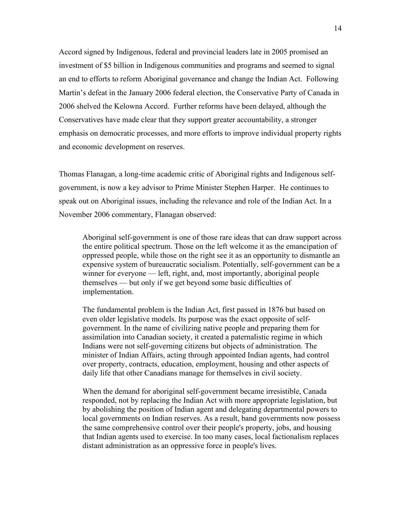Accord signed by Indigenous, federal and provincial leaders late in 2005 promised an investment of \$5 billion in Indigenous communities and programs and seemed to signal an end to efforts to reform Aboriginal governance and change the Indian Act. Following Martin's defeat in the January 2006 federal election, the Conservative Party of Canada in 2006 shelved the Kelowna Accord. Further reforms have been delayed, although the Conservatives have made clear that they support greater accountability, a stronger emphasis on democratic processes, and more efforts to improve individual property rights and economic development on reserves.

Thomas Flanagan, a long-time academic critic of Aboriginal rights and Indigenous selfgovernment, is now a key advisor to Prime Minister Stephen Harper. He continues to speak out on Aboriginal issues, including the relevance and role of the Indian Act. In a November 2006 commentary, Flanagan observed:

Aboriginal self-government is one of those rare ideas that can draw support across the entire political spectrum. Those on the left welcome it as the emancipation of oppressed people, while those on the right see it as an opportunity to dismantle an expensive system of bureaucratic socialism. Potentially, self-government can be a winner for everyone — left, right, and, most importantly, aboriginal people themselves — but only if we get beyond some basic difficulties of implementation.

The fundamental problem is the Indian Act, first passed in 1876 but based on even older legislative models. Its purpose was the exact opposite of selfgovernment. In the name of civilizing native people and preparing them for assimilation into Canadian society, it created a paternalistic regime in which Indians were not self-governing citizens but objects of administration. The minister of Indian Affairs, acting through appointed Indian agents, had control over property, contracts, education, employment, housing and other aspects of daily life that other Canadians manage for themselves in civil society.

When the demand for aboriginal self-government became irresistible, Canada responded, not by replacing the Indian Act with more appropriate legislation, but by abolishing the position of Indian agent and delegating departmental powers to local governments on Indian reserves. As a result, band governments now possess the same comprehensive control over their people's property, jobs, and housing that Indian agents used to exercise. In too many cases, local factionalism replaces distant administration as an oppressive force in people's lives.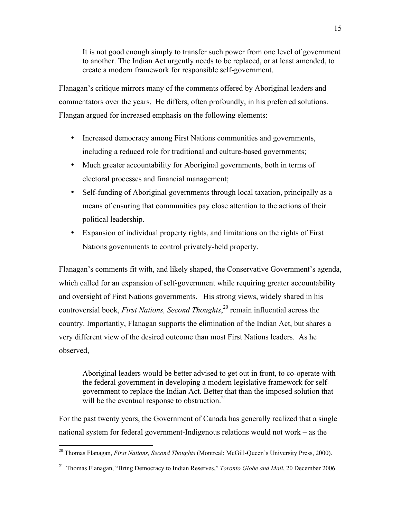It is not good enough simply to transfer such power from one level of government to another. The Indian Act urgently needs to be replaced, or at least amended, to create a modern framework for responsible self-government.

Flanagan's critique mirrors many of the comments offered by Aboriginal leaders and commentators over the years. He differs, often profoundly, in his preferred solutions. Flangan argued for increased emphasis on the following elements:

Increased democracy among First Nations communities and governments, including a reduced role for traditional and culture-based governments; Much greater accountability for Aboriginal governments, both in terms of electoral processes and financial management;

Self-funding of Aboriginal governments through local taxation, principally as a means of ensuring that communities pay close attention to the actions of their political leadership.

Expansion of individual property rights, and limitations on the rights of First Nations governments to control privately-held property.

Flanagan's comments fit with, and likely shaped, the Conservative Government's agenda, which called for an expansion of self-government while requiring greater accountability and oversight of First Nations governments. His strong views, widely shared in his controversial book, *First Nations, Second Thoughts*, 20 remain influential across the country. Importantly, Flanagan supports the elimination of the Indian Act, but shares a very different view of the desired outcome than most First Nations leaders. As he observed,

Aboriginal leaders would be better advised to get out in front, to co-operate with the federal government in developing a modern legislative framework for selfgovernment to replace the Indian Act. Better that than the imposed solution that will be the eventual response to obstruction.<sup>21</sup>

For the past twenty years, the Government of Canada has generally realized that a single national system for federal government-Indigenous relations would not work – as the

<sup>20</sup> Thomas Flanagan, *First Nations, Second Thoughts* (Montreal: McGill-Queen's University Press, 2000).

<sup>21</sup> Thomas Flanagan, "Bring Democracy to Indian Reserves," *Toronto Globe and Mail*, 20 December 2006.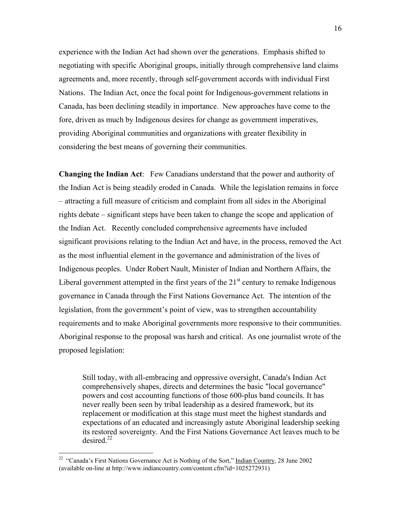experience with the Indian Act had shown over the generations. Emphasis shifted to negotiating with specific Aboriginal groups, initially through comprehensive land claims agreements and, more recently, through self-government accords with individual First Nations. The Indian Act, once the focal point for Indigenous-government relations in Canada, has been declining steadily in importance. New approaches have come to the fore, driven as much by Indigenous desires for change as government imperatives, providing Aboriginal communities and organizations with greater flexibility in considering the best means of governing their communities.

**Changing the Indian Act**: Few Canadians understand that the power and authority of the Indian Act is being steadily eroded in Canada. While the legislation remains in force – attracting a full measure of criticism and complaint from all sides in the Aboriginal rights debate – significant steps have been taken to change the scope and application of the Indian Act. Recently concluded comprehensive agreements have included significant provisions relating to the Indian Act and have, in the process, removed the Act as the most influential element in the governance and administration of the lives of Indigenous peoples. Under Robert Nault, Minister of Indian and Northern Affairs, the Liberal government attempted in the first years of the  $21<sup>st</sup>$  century to remake Indigenous governance in Canada through the First Nations Governance Act. The intention of the legislation, from the government's point of view, was to strengthen accountability requirements and to make Aboriginal governments more responsive to their communities. Aboriginal response to the proposal was harsh and critical. As one journalist wrote of the proposed legislation:

Still today, with all-embracing and oppressive oversight, Canada's Indian Act comprehensively shapes, directs and determines the basic "local governance" powers and cost accounting functions of those 600-plus band councils. It has never really been seen by tribal leadership as a desired framework, but its replacement or modification at this stage must meet the highest standards and expectations of an educated and increasingly astute Aboriginal leadership seeking its restored sovereignty. And the First Nations Governance Act leaves much to be desired. $^{22}$ 

<sup>&</sup>lt;sup>22</sup> "Canada's First Nations Governance Act is Nothing of the Sort," Indian Country, 28 June 2002 (available on-line at http://www.indiancountry.com/content.cfm?id=1025272931)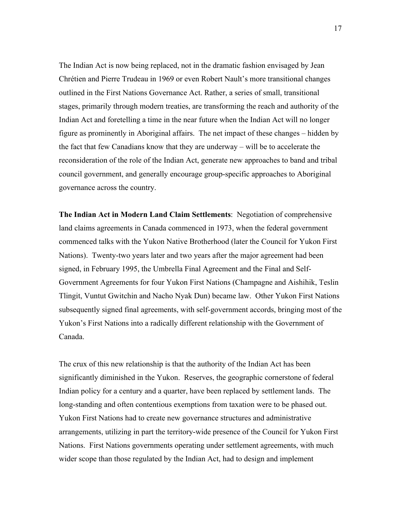The Indian Act is now being replaced, not in the dramatic fashion envisaged by Jean Chrétien and Pierre Trudeau in 1969 or even Robert Nault's more transitional changes outlined in the First Nations Governance Act. Rather, a series of small, transitional stages, primarily through modern treaties, are transforming the reach and authority of the Indian Act and foretelling a time in the near future when the Indian Act will no longer figure as prominently in Aboriginal affairs. The net impact of these changes – hidden by the fact that few Canadians know that they are underway – will be to accelerate the reconsideration of the role of the Indian Act, generate new approaches to band and tribal council government, and generally encourage group-specific approaches to Aboriginal governance across the country.

**The Indian Act in Modern Land Claim Settlements**: Negotiation of comprehensive land claims agreements in Canada commenced in 1973, when the federal government commenced talks with the Yukon Native Brotherhood (later the Council for Yukon First Nations). Twenty-two years later and two years after the major agreement had been signed, in February 1995, the Umbrella Final Agreement and the Final and Self-Government Agreements for four Yukon First Nations (Champagne and Aishihik, Teslin Tlingit, Vuntut Gwitchin and Nacho Nyak Dun) became law. Other Yukon First Nations subsequently signed final agreements, with self-government accords, bringing most of the Yukon's First Nations into a radically different relationship with the Government of Canada.

The crux of this new relationship is that the authority of the Indian Act has been significantly diminished in the Yukon. Reserves, the geographic cornerstone of federal Indian policy for a century and a quarter, have been replaced by settlement lands. The long-standing and often contentious exemptions from taxation were to be phased out. Yukon First Nations had to create new governance structures and administrative arrangements, utilizing in part the territory-wide presence of the Council for Yukon First Nations. First Nations governments operating under settlement agreements, with much wider scope than those regulated by the Indian Act, had to design and implement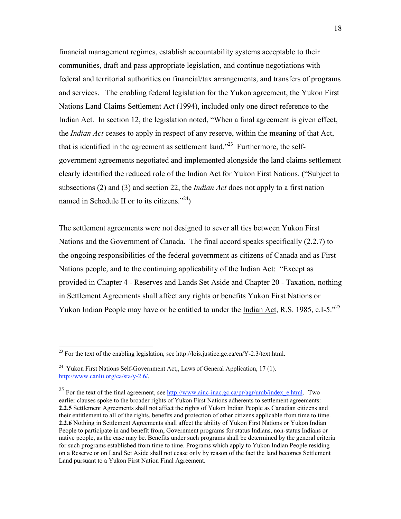financial management regimes, establish accountability systems acceptable to their communities, draft and pass appropriate legislation, and continue negotiations with federal and territorial authorities on financial/tax arrangements, and transfers of programs and services. The enabling federal legislation for the Yukon agreement, the Yukon First Nations Land Claims Settlement Act (1994), included only one direct reference to the Indian Act. In section 12, the legislation noted, "When a final agreement is given effect, the *Indian Act* ceases to apply in respect of any reserve, within the meaning of that Act, that is identified in the agreement as settlement land."<sup>23</sup> Furthermore, the selfgovernment agreements negotiated and implemented alongside the land claims settlement clearly identified the reduced role of the Indian Act for Yukon First Nations. ("Subject to subsections (2) and (3) and section 22, the *Indian Act* does not apply to a first nation named in Schedule II or to its citizens." $^{24}$ )

The settlement agreements were not designed to sever all ties between Yukon First Nations and the Government of Canada. The final accord speaks specifically (2.2.7) to the ongoing responsibilities of the federal government as citizens of Canada and as First Nations people, and to the continuing applicability of the Indian Act: "Except as provided in Chapter 4 - Reserves and Lands Set Aside and Chapter 20 - Taxation, nothing in Settlement Agreements shall affect any rights or benefits Yukon First Nations or Yukon Indian People may have or be entitled to under the Indian Act, R.S. 1985, c.I-5.<sup>225</sup>

<sup>&</sup>lt;sup>23</sup> For the text of the enabling legislation, see http://lois.justice.gc.ca/en/Y-2.3/text.html.

 $24$  Yukon First Nations Self-Government Act,, Laws of General Application, 17 (1). http://www.canlii.org/ca/sta/y-2.6/.

<sup>&</sup>lt;sup>25</sup> For the text of the final agreement, see  $\frac{http://www.ainc-inac.gc.ca/pr/agr/umb/indexe.html.}$  Two earlier clauses spoke to the broader rights of Yukon First Nations adherents to settlement agreements: **2.2.5** Settlement Agreements shall not affect the rights of Yukon Indian People as Canadian citizens and their entitlement to all of the rights, benefits and protection of other citizens applicable from time to time. **2.2.6** Nothing in Settlement Agreements shall affect the ability of Yukon First Nations or Yukon Indian People to participate in and benefit from, Government programs for status Indians, non-status Indians or native people, as the case may be. Benefits under such programs shall be determined by the general criteria for such programs established from time to time. Programs which apply to Yukon Indian People residing on a Reserve or on Land Set Aside shall not cease only by reason of the fact the land becomes Settlement Land pursuant to a Yukon First Nation Final Agreement.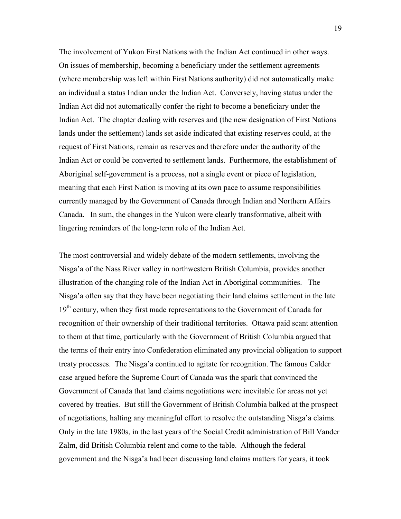The involvement of Yukon First Nations with the Indian Act continued in other ways. On issues of membership, becoming a beneficiary under the settlement agreements (where membership was left within First Nations authority) did not automatically make an individual a status Indian under the Indian Act. Conversely, having status under the Indian Act did not automatically confer the right to become a beneficiary under the Indian Act. The chapter dealing with reserves and (the new designation of First Nations lands under the settlement) lands set aside indicated that existing reserves could, at the request of First Nations, remain as reserves and therefore under the authority of the Indian Act or could be converted to settlement lands. Furthermore, the establishment of Aboriginal self-government is a process, not a single event or piece of legislation, meaning that each First Nation is moving at its own pace to assume responsibilities currently managed by the Government of Canada through Indian and Northern Affairs Canada. In sum, the changes in the Yukon were clearly transformative, albeit with lingering reminders of the long-term role of the Indian Act.

The most controversial and widely debate of the modern settlements, involving the Nisga'a of the Nass River valley in northwestern British Columbia, provides another illustration of the changing role of the Indian Act in Aboriginal communities. The Nisga'a often say that they have been negotiating their land claims settlement in the late  $19<sup>th</sup>$  century, when they first made representations to the Government of Canada for recognition of their ownership of their traditional territories. Ottawa paid scant attention to them at that time, particularly with the Government of British Columbia argued that the terms of their entry into Confederation eliminated any provincial obligation to support treaty processes. The Nisga'a continued to agitate for recognition. The famous Calder case argued before the Supreme Court of Canada was the spark that convinced the Government of Canada that land claims negotiations were inevitable for areas not yet covered by treaties. But still the Government of British Columbia balked at the prospect of negotiations, halting any meaningful effort to resolve the outstanding Nisga'a claims. Only in the late 1980s, in the last years of the Social Credit administration of Bill Vander Zalm, did British Columbia relent and come to the table. Although the federal government and the Nisga'a had been discussing land claims matters for years, it took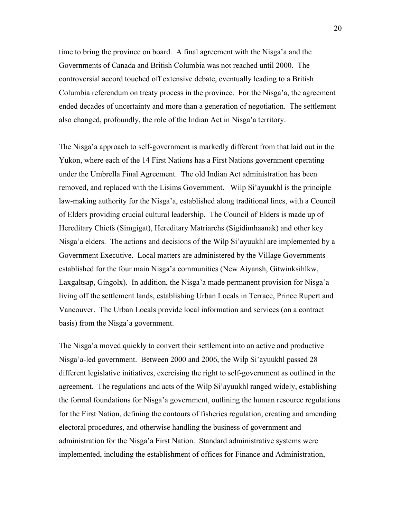time to bring the province on board. A final agreement with the Nisga'a and the Governments of Canada and British Columbia was not reached until 2000. The controversial accord touched off extensive debate, eventually leading to a British Columbia referendum on treaty process in the province. For the Nisga'a, the agreement ended decades of uncertainty and more than a generation of negotiation. The settlement also changed, profoundly, the role of the Indian Act in Nisga'a territory.

The Nisga'a approach to self-government is markedly different from that laid out in the Yukon, where each of the 14 First Nations has a First Nations government operating under the Umbrella Final Agreement. The old Indian Act administration has been removed, and replaced with the Lisims Government. Wilp Si'ayuukhl is the principle law-making authority for the Nisga'a, established along traditional lines, with a Council of Elders providing crucial cultural leadership. The Council of Elders is made up of Hereditary Chiefs (Simgigat), Hereditary Matriarchs (Sigidimhaanak) and other key Nisga'a elders. The actions and decisions of the Wilp Si'ayuukhl are implemented by a Government Executive. Local matters are administered by the Village Governments established for the four main Nisga'a communities (New Aiyansh, Gitwinksihlkw, Laxgaltsap, Gingolx). In addition, the Nisga'a made permanent provision for Nisga'a living off the settlement lands, establishing Urban Locals in Terrace, Prince Rupert and Vancouver. The Urban Locals provide local information and services (on a contract basis) from the Nisga'a government.

The Nisga'a moved quickly to convert their settlement into an active and productive Nisga'a-led government. Between 2000 and 2006, the Wilp Si'ayuukhl passed 28 different legislative initiatives, exercising the right to self-government as outlined in the agreement. The regulations and acts of the Wilp Si'ayuukhl ranged widely, establishing the formal foundations for Nisga'a government, outlining the human resource regulations for the First Nation, defining the contours of fisheries regulation, creating and amending electoral procedures, and otherwise handling the business of government and administration for the Nisga'a First Nation. Standard administrative systems were implemented, including the establishment of offices for Finance and Administration,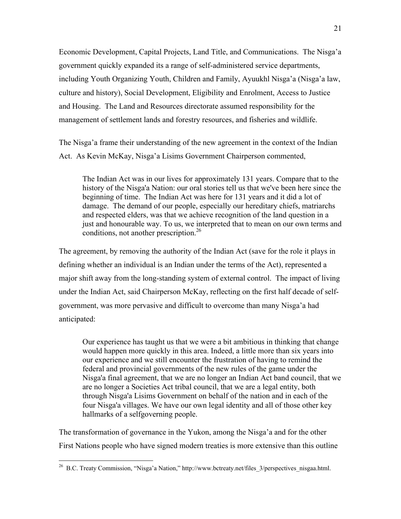Economic Development, Capital Projects, Land Title, and Communications. The Nisga'a government quickly expanded its a range of self-administered service departments, including Youth Organizing Youth, Children and Family, Ayuukhl Nisga'a (Nisga'a law, culture and history), Social Development, Eligibility and Enrolment, Access to Justice and Housing. The Land and Resources directorate assumed responsibility for the management of settlement lands and forestry resources, and fisheries and wildlife.

The Nisga'a frame their understanding of the new agreement in the context of the Indian Act. As Kevin McKay, Nisga'a Lisims Government Chairperson commented,

The Indian Act was in our lives for approximately 131 years. Compare that to the history of the Nisga'a Nation: our oral stories tell us that we've been here since the beginning of time. The Indian Act was here for 131 years and it did a lot of damage. The demand of our people, especially our hereditary chiefs, matriarchs and respected elders, was that we achieve recognition of the land question in a just and honourable way. To us, we interpreted that to mean on our own terms and conditions, not another prescription.<sup>26</sup>

The agreement, by removing the authority of the Indian Act (save for the role it plays in defining whether an individual is an Indian under the terms of the Act), represented a major shift away from the long-standing system of external control. The impact of living under the Indian Act, said Chairperson McKay, reflecting on the first half decade of selfgovernment, was more pervasive and difficult to overcome than many Nisga'a had anticipated:

Our experience has taught us that we were a bit ambitious in thinking that change would happen more quickly in this area. Indeed, a little more than six years into our experience and we still encounter the frustration of having to remind the federal and provincial governments of the new rules of the game under the Nisga'a final agreement, that we are no longer an Indian Act band council, that we are no longer a Societies Act tribal council, that we are a legal entity, both through Nisga'a Lisims Government on behalf of the nation and in each of the four Nisga'a villages. We have our own legal identity and all of those other key hallmarks of a selfgoverning people.

The transformation of governance in the Yukon, among the Nisga'a and for the other First Nations people who have signed modern treaties is more extensive than this outline

<sup>&</sup>lt;sup>26</sup> B.C. Treaty Commission, "Nisga'a Nation," http://www.bctreaty.net/files  $3$ /perspectives nisgaa.html.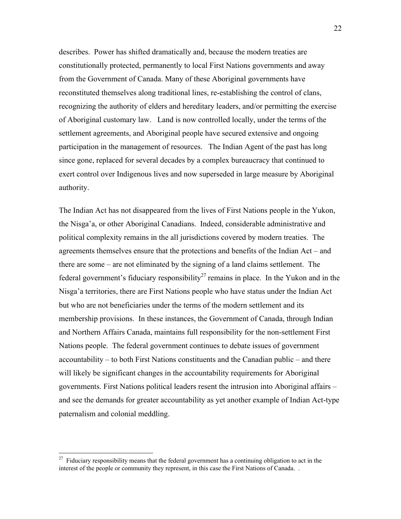describes. Power has shifted dramatically and, because the modern treaties are constitutionally protected, permanently to local First Nations governments and away from the Government of Canada. Many of these Aboriginal governments have reconstituted themselves along traditional lines, re-establishing the control of clans, recognizing the authority of elders and hereditary leaders, and/or permitting the exercise of Aboriginal customary law. Land is now controlled locally, under the terms of the settlement agreements, and Aboriginal people have secured extensive and ongoing participation in the management of resources. The Indian Agent of the past has long since gone, replaced for several decades by a complex bureaucracy that continued to exert control over Indigenous lives and now superseded in large measure by Aboriginal authority.

The Indian Act has not disappeared from the lives of First Nations people in the Yukon, the Nisga'a, or other Aboriginal Canadians. Indeed, considerable administrative and political complexity remains in the all jurisdictions covered by modern treaties. The agreements themselves ensure that the protections and benefits of the Indian Act – and there are some – are not eliminated by the signing of a land claims settlement. The federal government's fiduciary responsibility<sup>27</sup> remains in place. In the Yukon and in the Nisga'a territories, there are First Nations people who have status under the Indian Act but who are not beneficiaries under the terms of the modern settlement and its membership provisions. In these instances, the Government of Canada, through Indian and Northern Affairs Canada, maintains full responsibility for the non-settlement First Nations people. The federal government continues to debate issues of government accountability – to both First Nations constituents and the Canadian public – and there will likely be significant changes in the accountability requirements for Aboriginal governments. First Nations political leaders resent the intrusion into Aboriginal affairs – and see the demands for greater accountability as yet another example of Indian Act-type paternalism and colonial meddling.

 $27$  Fiduciary responsibility means that the federal government has a continuing obligation to act in the interest of the people or community they represent, in this case the First Nations of Canada. .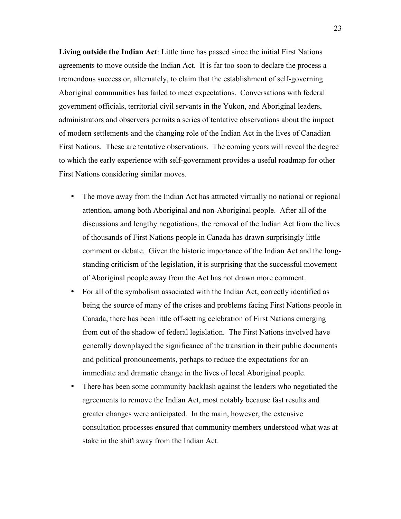**Living outside the Indian Act**: Little time has passed since the initial First Nations agreements to move outside the Indian Act. It is far too soon to declare the process a tremendous success or, alternately, to claim that the establishment of self-governing Aboriginal communities has failed to meet expectations. Conversations with federal government officials, territorial civil servants in the Yukon, and Aboriginal leaders, administrators and observers permits a series of tentative observations about the impact of modern settlements and the changing role of the Indian Act in the lives of Canadian First Nations. These are tentative observations. The coming years will reveal the degree to which the early experience with self-government provides a useful roadmap for other First Nations considering similar moves.

The move away from the Indian Act has attracted virtually no national or regional attention, among both Aboriginal and non-Aboriginal people. After all of the discussions and lengthy negotiations, the removal of the Indian Act from the lives of thousands of First Nations people in Canada has drawn surprisingly little comment or debate. Given the historic importance of the Indian Act and the longstanding criticism of the legislation, it is surprising that the successful movement of Aboriginal people away from the Act has not drawn more comment. For all of the symbolism associated with the Indian Act, correctly identified as being the source of many of the crises and problems facing First Nations people in Canada, there has been little off-setting celebration of First Nations emerging from out of the shadow of federal legislation. The First Nations involved have generally downplayed the significance of the transition in their public documents and political pronouncements, perhaps to reduce the expectations for an immediate and dramatic change in the lives of local Aboriginal people. There has been some community backlash against the leaders who negotiated the agreements to remove the Indian Act, most notably because fast results and greater changes were anticipated. In the main, however, the extensive consultation processes ensured that community members understood what was at stake in the shift away from the Indian Act.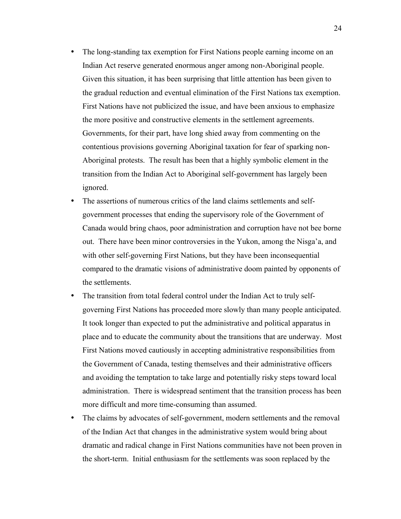The long-standing tax exemption for First Nations people earning income on an Indian Act reserve generated enormous anger among non-Aboriginal people. Given this situation, it has been surprising that little attention has been given to the gradual reduction and eventual elimination of the First Nations tax exemption. First Nations have not publicized the issue, and have been anxious to emphasize the more positive and constructive elements in the settlement agreements. Governments, for their part, have long shied away from commenting on the contentious provisions governing Aboriginal taxation for fear of sparking non-Aboriginal protests. The result has been that a highly symbolic element in the transition from the Indian Act to Aboriginal self-government has largely been ignored.

The assertions of numerous critics of the land claims settlements and selfgovernment processes that ending the supervisory role of the Government of Canada would bring chaos, poor administration and corruption have not bee borne out. There have been minor controversies in the Yukon, among the Nisga'a, and with other self-governing First Nations, but they have been inconsequential compared to the dramatic visions of administrative doom painted by opponents of the settlements.

The transition from total federal control under the Indian Act to truly selfgoverning First Nations has proceeded more slowly than many people anticipated. It took longer than expected to put the administrative and political apparatus in place and to educate the community about the transitions that are underway. Most First Nations moved cautiously in accepting administrative responsibilities from the Government of Canada, testing themselves and their administrative officers and avoiding the temptation to take large and potentially risky steps toward local administration. There is widespread sentiment that the transition process has been more difficult and more time-consuming than assumed.

The claims by advocates of self-government, modern settlements and the removal of the Indian Act that changes in the administrative system would bring about dramatic and radical change in First Nations communities have not been proven in the short-term. Initial enthusiasm for the settlements was soon replaced by the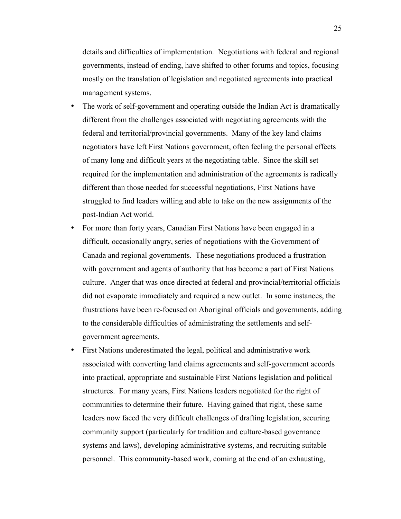details and difficulties of implementation. Negotiations with federal and regional governments, instead of ending, have shifted to other forums and topics, focusing mostly on the translation of legislation and negotiated agreements into practical management systems.

The work of self-government and operating outside the Indian Act is dramatically different from the challenges associated with negotiating agreements with the federal and territorial/provincial governments. Many of the key land claims negotiators have left First Nations government, often feeling the personal effects of many long and difficult years at the negotiating table. Since the skill set required for the implementation and administration of the agreements is radically different than those needed for successful negotiations, First Nations have struggled to find leaders willing and able to take on the new assignments of the post-Indian Act world.

For more than forty years, Canadian First Nations have been engaged in a difficult, occasionally angry, series of negotiations with the Government of Canada and regional governments. These negotiations produced a frustration with government and agents of authority that has become a part of First Nations culture. Anger that was once directed at federal and provincial/territorial officials did not evaporate immediately and required a new outlet. In some instances, the frustrations have been re-focused on Aboriginal officials and governments, adding to the considerable difficulties of administrating the settlements and selfgovernment agreements.

First Nations underestimated the legal, political and administrative work associated with converting land claims agreements and self-government accords into practical, appropriate and sustainable First Nations legislation and political structures. For many years, First Nations leaders negotiated for the right of communities to determine their future. Having gained that right, these same leaders now faced the very difficult challenges of drafting legislation, securing community support (particularly for tradition and culture-based governance systems and laws), developing administrative systems, and recruiting suitable personnel. This community-based work, coming at the end of an exhausting,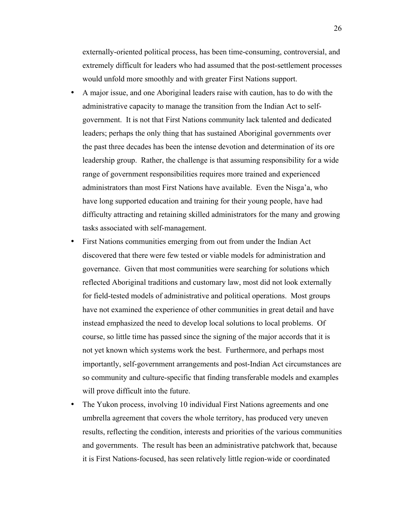externally-oriented political process, has been time-consuming, controversial, and extremely difficult for leaders who had assumed that the post-settlement processes would unfold more smoothly and with greater First Nations support. A major issue, and one Aboriginal leaders raise with caution, has to do with the administrative capacity to manage the transition from the Indian Act to selfgovernment. It is not that First Nations community lack talented and dedicated leaders; perhaps the only thing that has sustained Aboriginal governments over the past three decades has been the intense devotion and determination of its ore leadership group. Rather, the challenge is that assuming responsibility for a wide range of government responsibilities requires more trained and experienced administrators than most First Nations have available. Even the Nisga'a, who have long supported education and training for their young people, have had difficulty attracting and retaining skilled administrators for the many and growing tasks associated with self-management.

First Nations communities emerging from out from under the Indian Act discovered that there were few tested or viable models for administration and governance. Given that most communities were searching for solutions which reflected Aboriginal traditions and customary law, most did not look externally for field-tested models of administrative and political operations. Most groups have not examined the experience of other communities in great detail and have instead emphasized the need to develop local solutions to local problems. Of course, so little time has passed since the signing of the major accords that it is not yet known which systems work the best. Furthermore, and perhaps most importantly, self-government arrangements and post-Indian Act circumstances are so community and culture-specific that finding transferable models and examples will prove difficult into the future.

The Yukon process, involving 10 individual First Nations agreements and one umbrella agreement that covers the whole territory, has produced very uneven results, reflecting the condition, interests and priorities of the various communities and governments. The result has been an administrative patchwork that, because it is First Nations-focused, has seen relatively little region-wide or coordinated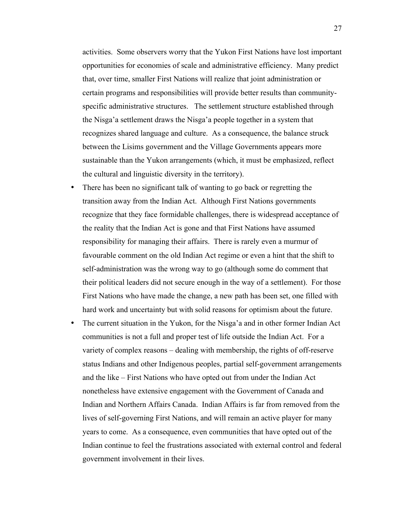activities. Some observers worry that the Yukon First Nations have lost important opportunities for economies of scale and administrative efficiency. Many predict that, over time, smaller First Nations will realize that joint administration or certain programs and responsibilities will provide better results than communityspecific administrative structures. The settlement structure established through the Nisga'a settlement draws the Nisga'a people together in a system that recognizes shared language and culture. As a consequence, the balance struck between the Lisims government and the Village Governments appears more sustainable than the Yukon arrangements (which, it must be emphasized, reflect the cultural and linguistic diversity in the territory).

There has been no significant talk of wanting to go back or regretting the transition away from the Indian Act. Although First Nations governments recognize that they face formidable challenges, there is widespread acceptance of the reality that the Indian Act is gone and that First Nations have assumed responsibility for managing their affairs. There is rarely even a murmur of favourable comment on the old Indian Act regime or even a hint that the shift to self-administration was the wrong way to go (although some do comment that their political leaders did not secure enough in the way of a settlement). For those First Nations who have made the change, a new path has been set, one filled with hard work and uncertainty but with solid reasons for optimism about the future. The current situation in the Yukon, for the Nisga'a and in other former Indian Act communities is not a full and proper test of life outside the Indian Act. For a variety of complex reasons – dealing with membership, the rights of off-reserve status Indians and other Indigenous peoples, partial self-government arrangements and the like – First Nations who have opted out from under the Indian Act nonetheless have extensive engagement with the Government of Canada and Indian and Northern Affairs Canada. Indian Affairs is far from removed from the lives of self-governing First Nations, and will remain an active player for many years to come. As a consequence, even communities that have opted out of the Indian continue to feel the frustrations associated with external control and federal government involvement in their lives.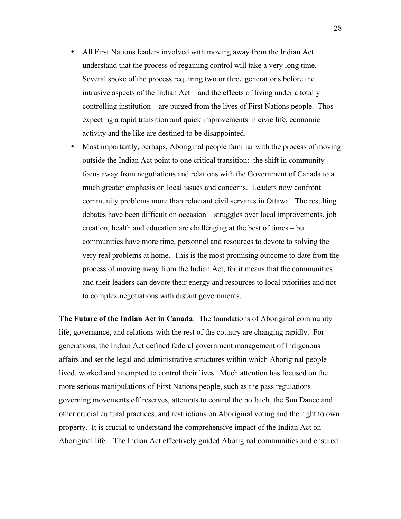All First Nations leaders involved with moving away from the Indian Act understand that the process of regaining control will take a very long time. Several spoke of the process requiring two or three generations before the intrusive aspects of the Indian Act – and the effects of living under a totally controlling institution – are purged from the lives of First Nations people. Thos expecting a rapid transition and quick improvements in civic life, economic activity and the like are destined to be disappointed.

Most importantly, perhaps, Aboriginal people familiar with the process of moving outside the Indian Act point to one critical transition: the shift in community focus away from negotiations and relations with the Government of Canada to a much greater emphasis on local issues and concerns. Leaders now confront community problems more than reluctant civil servants in Ottawa. The resulting debates have been difficult on occasion – struggles over local improvements, job creation, health and education are challenging at the best of times – but communities have more time, personnel and resources to devote to solving the very real problems at home. This is the most promising outcome to date from the process of moving away from the Indian Act, for it means that the communities and their leaders can devote their energy and resources to local priorities and not to complex negotiations with distant governments.

**The Future of the Indian Act in Canada**: The foundations of Aboriginal community life, governance, and relations with the rest of the country are changing rapidly. For generations, the Indian Act defined federal government management of Indigenous affairs and set the legal and administrative structures within which Aboriginal people lived, worked and attempted to control their lives. Much attention has focused on the more serious manipulations of First Nations people, such as the pass regulations governing movements off reserves, attempts to control the potlatch, the Sun Dance and other crucial cultural practices, and restrictions on Aboriginal voting and the right to own property. It is crucial to understand the comprehensive impact of the Indian Act on Aboriginal life. The Indian Act effectively guided Aboriginal communities and ensured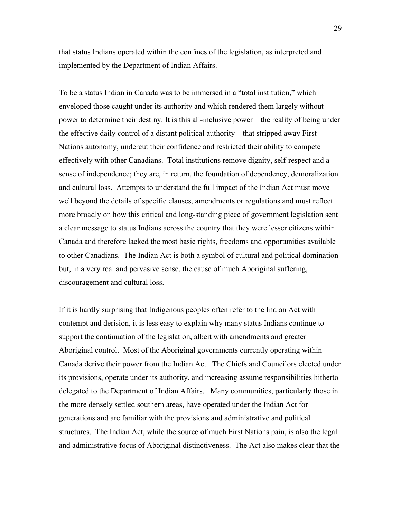that status Indians operated within the confines of the legislation, as interpreted and implemented by the Department of Indian Affairs.

To be a status Indian in Canada was to be immersed in a "total institution," which enveloped those caught under its authority and which rendered them largely without power to determine their destiny. It is this all-inclusive power – the reality of being under the effective daily control of a distant political authority – that stripped away First Nations autonomy, undercut their confidence and restricted their ability to compete effectively with other Canadians. Total institutions remove dignity, self-respect and a sense of independence; they are, in return, the foundation of dependency, demoralization and cultural loss. Attempts to understand the full impact of the Indian Act must move well beyond the details of specific clauses, amendments or regulations and must reflect more broadly on how this critical and long-standing piece of government legislation sent a clear message to status Indians across the country that they were lesser citizens within Canada and therefore lacked the most basic rights, freedoms and opportunities available to other Canadians. The Indian Act is both a symbol of cultural and political domination but, in a very real and pervasive sense, the cause of much Aboriginal suffering, discouragement and cultural loss.

If it is hardly surprising that Indigenous peoples often refer to the Indian Act with contempt and derision, it is less easy to explain why many status Indians continue to support the continuation of the legislation, albeit with amendments and greater Aboriginal control. Most of the Aboriginal governments currently operating within Canada derive their power from the Indian Act. The Chiefs and Councilors elected under its provisions, operate under its authority, and increasing assume responsibilities hitherto delegated to the Department of Indian Affairs. Many communities, particularly those in the more densely settled southern areas, have operated under the Indian Act for generations and are familiar with the provisions and administrative and political structures. The Indian Act, while the source of much First Nations pain, is also the legal and administrative focus of Aboriginal distinctiveness. The Act also makes clear that the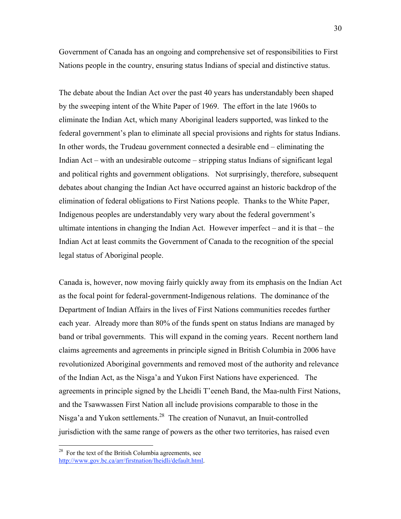Government of Canada has an ongoing and comprehensive set of responsibilities to First Nations people in the country, ensuring status Indians of special and distinctive status.

The debate about the Indian Act over the past 40 years has understandably been shaped by the sweeping intent of the White Paper of 1969. The effort in the late 1960s to eliminate the Indian Act, which many Aboriginal leaders supported, was linked to the federal government's plan to eliminate all special provisions and rights for status Indians. In other words, the Trudeau government connected a desirable end – eliminating the Indian Act – with an undesirable outcome – stripping status Indians of significant legal and political rights and government obligations. Not surprisingly, therefore, subsequent debates about changing the Indian Act have occurred against an historic backdrop of the elimination of federal obligations to First Nations people. Thanks to the White Paper, Indigenous peoples are understandably very wary about the federal government's ultimate intentions in changing the Indian Act. However imperfect – and it is that – the Indian Act at least commits the Government of Canada to the recognition of the special legal status of Aboriginal people.

Canada is, however, now moving fairly quickly away from its emphasis on the Indian Act as the focal point for federal-government-Indigenous relations. The dominance of the Department of Indian Affairs in the lives of First Nations communities recedes further each year. Already more than 80% of the funds spent on status Indians are managed by band or tribal governments. This will expand in the coming years. Recent northern land claims agreements and agreements in principle signed in British Columbia in 2006 have revolutionized Aboriginal governments and removed most of the authority and relevance of the Indian Act, as the Nisga'a and Yukon First Nations have experienced. The agreements in principle signed by the Lheidli T'eeneh Band, the Maa-nulth First Nations, and the Tsawwassen First Nation all include provisions comparable to those in the Nisga'a and Yukon settlements.28 The creation of Nunavut, an Inuit-controlled jurisdiction with the same range of powers as the other two territories, has raised even

<u>.</u>

 $28$  For the text of the British Columbia agreements, see http://www.gov.bc.ca/arr/firstnation/lheidli/default.html.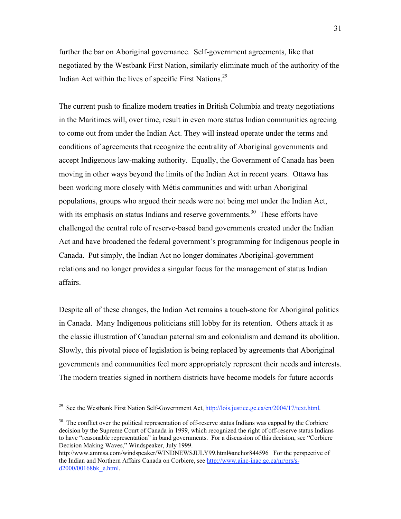further the bar on Aboriginal governance. Self-government agreements, like that negotiated by the Westbank First Nation, similarly eliminate much of the authority of the Indian Act within the lives of specific First Nations.29

The current push to finalize modern treaties in British Columbia and treaty negotiations in the Maritimes will, over time, result in even more status Indian communities agreeing to come out from under the Indian Act. They will instead operate under the terms and conditions of agreements that recognize the centrality of Aboriginal governments and accept Indigenous law-making authority. Equally, the Government of Canada has been moving in other ways beyond the limits of the Indian Act in recent years. Ottawa has been working more closely with Métis communities and with urban Aboriginal populations, groups who argued their needs were not being met under the Indian Act, with its emphasis on status Indians and reserve governments.<sup>30</sup> These efforts have challenged the central role of reserve-based band governments created under the Indian Act and have broadened the federal government's programming for Indigenous people in Canada. Put simply, the Indian Act no longer dominates Aboriginal-government relations and no longer provides a singular focus for the management of status Indian affairs.

Despite all of these changes, the Indian Act remains a touch-stone for Aboriginal politics in Canada. Many Indigenous politicians still lobby for its retention. Others attack it as the classic illustration of Canadian paternalism and colonialism and demand its abolition. Slowly, this pivotal piece of legislation is being replaced by agreements that Aboriginal governments and communities feel more appropriately represent their needs and interests. The modern treaties signed in northern districts have become models for future accords

<sup>&</sup>lt;sup>29</sup> See the Westbank First Nation Self-Government Act,  $\frac{http://lois.justice.ge.ca/en/2004/17/text.html.}$ 

 $30\text{ T}$  The conflict over the political representation of off-reserve status Indians was capped by the Corbiere decision by the Supreme Court of Canada in 1999, which recognized the right of off-reserve status Indians to have "reasonable representation" in band governments. For a discussion of this decision, see "Corbiere Decision Making Waves," Windspeaker, July 1999.

http://www.ammsa.com/windspeaker/WINDNEWSJULY99.html#anchor844596 For the perspective of the Indian and Northern Affairs Canada on Corbiere, see http://www.ainc-inac.gc.ca/nr/prs/sd2000/00168bk\_e.html.